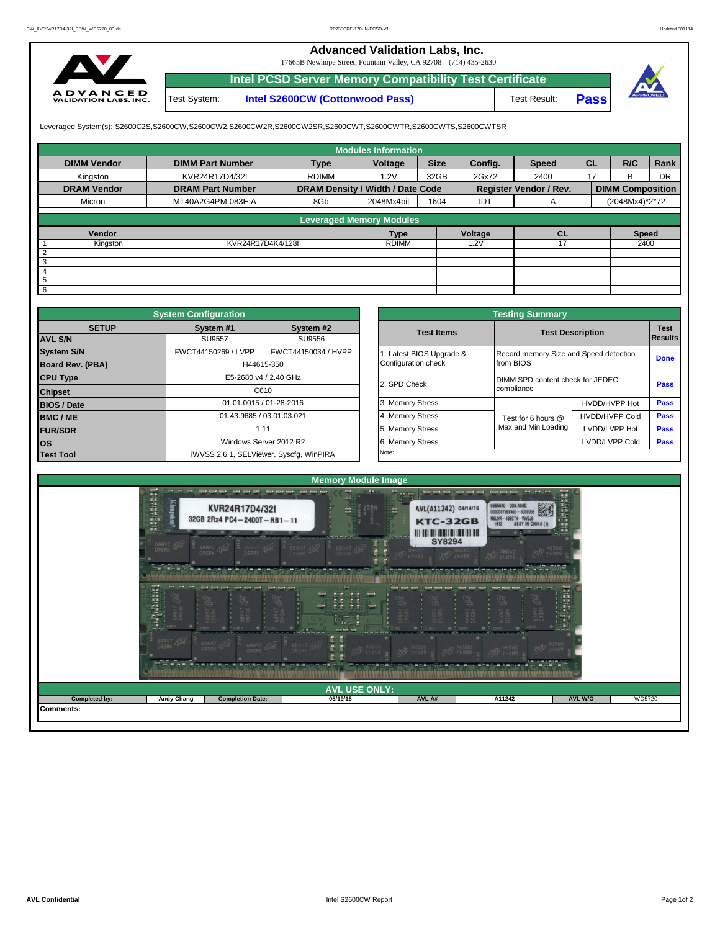## **Advanced Validation Labs, Inc.**

17665B Newhope Street, Fountain Valley, CA 92708 (714) 435-2630



Test System: **Intel S2600CW (Cottonwood Pass) Intel PCSD Server Memory Compatibility Test Certificate**





Leveraged System(s): S2600C2S,S2600CW,S2600CW2,S2600CW2R,S2600CW2SR,S2600CWT,S2600CWTR,S2600CWTS,S2600CWTSR

|                    |                         |                                  | <b>Modules Information</b> |             |         |                               |           |                         |      |
|--------------------|-------------------------|----------------------------------|----------------------------|-------------|---------|-------------------------------|-----------|-------------------------|------|
| <b>DIMM Vendor</b> | <b>DIMM Part Number</b> | <b>Type</b>                      | Voltage                    | <b>Size</b> | Config. | <b>Speed</b>                  | <b>CL</b> | R/C                     | Rank |
| Kingston           | KVR24R17D4/32I          | <b>RDIMM</b>                     | 1.2V                       | 32GB        | 2Gx72   | 2400                          | 17        | <sub>R</sub>            | DR   |
| <b>DRAM Vendor</b> | <b>DRAM Part Number</b> | DRAM Density / Width / Date Code |                            |             |         | <b>Register Vendor / Rev.</b> |           | <b>DIMM Composition</b> |      |
| Micron             | MT40A2G4PM-083E:A       | 8Gb                              | 2048Mx4bit                 | 1604        | IDT     | A                             |           | (2048Mx4)*2*72          |      |
|                    |                         |                                  |                            |             |         |                               |           |                         |      |
|                    |                         | <b>Leveraged Memory Modules</b>  |                            |             |         |                               |           |                         |      |
| Vendor             |                         |                                  | <b>Type</b>                |             | Voltage | <b>CL</b>                     |           | <b>Speed</b>            |      |
| Kingston           | KVR24R17D4K4/128I       |                                  | <b>RDIMM</b>               |             | .2V     |                               |           | 2400                    |      |
| $\overline{2}$     |                         |                                  |                            |             |         |                               |           |                         |      |
| 3                  |                         |                                  |                            |             |         |                               |           |                         |      |
| $\overline{4}$     |                         |                                  |                            |             |         |                               |           |                         |      |
| 5                  |                         |                                  |                            |             |         |                               |           |                         |      |
| 6                  |                         |                                  |                            |             |         |                               |           |                         |      |

|                                          | <b>System Configuration</b> |                                         |                     | <b>Testing Summary</b> |                                        |                                  |             |  |  |  |  |  |
|------------------------------------------|-----------------------------|-----------------------------------------|---------------------|------------------------|----------------------------------------|----------------------------------|-------------|--|--|--|--|--|
| <b>SETUP</b>                             | System #1                   | System #2                               |                     | <b>Test Items</b>      | <b>Test Description</b>                | <b>Test</b><br>Results           |             |  |  |  |  |  |
| <b>AVL S/N</b>                           | <b>SU9557</b>               | SU9556                                  |                     |                        |                                        |                                  |             |  |  |  |  |  |
| <b>System S/N</b>                        | FWCT44150269 / LVPP         | FWCT44150034 / HVPP                     |                     | Latest BIOS Upgrade &  | Record memory Size and Speed detection |                                  | <b>Done</b> |  |  |  |  |  |
| Board Rev. (PBA)                         | H44615-350                  |                                         | Configuration check | from BIOS              |                                        |                                  |             |  |  |  |  |  |
| <b>CPU Type</b><br>E5-2680 v4 / 2.40 GHz |                             |                                         |                     | 2. SPD Check           |                                        | DIMM SPD content check for JEDEC |             |  |  |  |  |  |
| <b>Chipset</b>                           |                             | C610                                    |                     |                        | compliance                             |                                  |             |  |  |  |  |  |
| <b>BIOS / Date</b>                       |                             | 01.01.0015 / 01-28-2016                 |                     | 3. Memory Stress       |                                        | HVDD/HVPP Hot                    | <b>Pass</b> |  |  |  |  |  |
| <b>BMC/ME</b>                            | 01.43.9685 / 03.01.03.021   |                                         |                     | 4. Memory Stress       | Test for 6 hours @                     | <b>HVDD/HVPP Cold</b>            | <b>Pass</b> |  |  |  |  |  |
| <b>FUR/SDR</b>                           | 1.11                        |                                         |                     | 5. Memory Stress       | Max and Min Loading                    | LVDD/LVPP Hot                    | <b>Pass</b> |  |  |  |  |  |
| <b>los</b>                               |                             | Windows Server 2012 R2                  |                     | 6. Memory Stress       |                                        | LVDD/LVPP Cold                   |             |  |  |  |  |  |
| <b>Test Tool</b>                         |                             | iWVSS 2.6.1, SELViewer, Syscfq, WinPIRA |                     | Note:                  |                                        |                                  |             |  |  |  |  |  |

|              | <b>System Configuration</b> |                                         |                       | <b>Testing Summary</b>  |                                                          |             |  |  |  |
|--------------|-----------------------------|-----------------------------------------|-----------------------|-------------------------|----------------------------------------------------------|-------------|--|--|--|
| <b>SETUP</b> | System #1                   | System #2                               | <b>Test Items</b>     | <b>Test Description</b> |                                                          |             |  |  |  |
|              | <b>SU9557</b>               | SU9556                                  |                       |                         | <b>Results</b><br>Record memory Size and Speed detection |             |  |  |  |
|              | FWCT44150269 / LVPP         | FWCT44150034 / HVPP                     | Latest BIOS Upgrade & |                         |                                                          |             |  |  |  |
| PBA)         |                             | H44615-350                              | Configuration check   | from BIOS               |                                                          | <b>Done</b> |  |  |  |
|              |                             | E5-2680 v4 / 2.40 GHz                   | 2. SPD Check          |                         | DIMM SPD content check for JEDEC                         |             |  |  |  |
|              |                             | C610                                    |                       | compliance              |                                                          | Pass        |  |  |  |
|              |                             | 01.01.0015 / 01-28-2016                 | 3. Memory Stress      |                         | HVDD/HVPP Hot                                            | Pass        |  |  |  |
|              | 01.43.9685 / 03.01.03.021   |                                         | 4. Memory Stress      | Test for 6 hours @      | <b>HVDD/HVPP Cold</b>                                    | Pass        |  |  |  |
|              |                             | 1.11                                    | 5. Memory Stress      | Max and Min Loading     | LVDD/LVPP Hot                                            | Pass        |  |  |  |
|              |                             | Windows Server 2012 R2                  | 6. Memory Stress      |                         | LVDD/LVPP Cold                                           | Pass        |  |  |  |
|              |                             | iWVSS 2.6.1, SELViewer, Syscfq, WinPIRA | Note:                 |                         |                                                          |             |  |  |  |